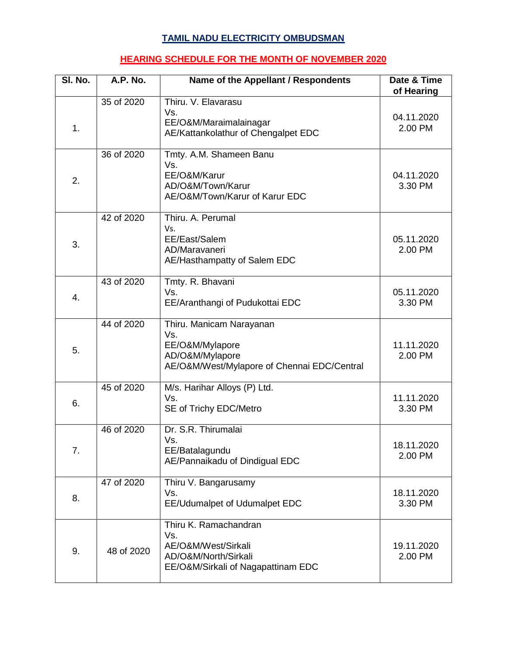## **TAMIL NADU ELECTRICITY OMBUDSMAN**

## **HEARING SCHEDULE FOR THE MONTH OF NOVEMBER 2020**

| SI. No. | A.P. No.   | Name of the Appellant / Respondents                                                                                  | Date & Time<br>of Hearing |
|---------|------------|----------------------------------------------------------------------------------------------------------------------|---------------------------|
| 1.      | 35 of 2020 | Thiru. V. Elavarasu<br>Vs.<br>EE/O&M/Maraimalainagar<br>AE/Kattankolathur of Chengalpet EDC                          | 04.11.2020<br>2.00 PM     |
| 2.      | 36 of 2020 | Tmty. A.M. Shameen Banu<br>Vs.<br>EE/O&M/Karur<br>AD/O&M/Town/Karur<br>AE/O&M/Town/Karur of Karur EDC                | 04.11.2020<br>3.30 PM     |
| 3.      | 42 of 2020 | Thiru. A. Perumal<br>Vs.<br>EE/East/Salem<br>AD/Maravaneri<br>AE/Hasthampatty of Salem EDC                           | 05.11.2020<br>2.00 PM     |
| 4.      | 43 of 2020 | Tmty. R. Bhavani<br>Vs.<br>EE/Aranthangi of Pudukottai EDC                                                           | 05.11.2020<br>3.30 PM     |
| 5.      | 44 of 2020 | Thiru. Manicam Narayanan<br>Vs.<br>EE/O&M/Mylapore<br>AD/O&M/Mylapore<br>AE/O&M/West/Mylapore of Chennai EDC/Central | 11.11.2020<br>2.00 PM     |
| 6.      | 45 of 2020 | M/s. Harihar Alloys (P) Ltd.<br>Vs.<br>SE of Trichy EDC/Metro                                                        | 11.11.2020<br>3.30 PM     |
| 7.      | 46 of 2020 | Dr. S.R. Thirumalai<br>Vs.<br>EE/Batalagundu<br>AE/Pannaikadu of Dindigual EDC                                       | 18.11.2020<br>2.00 PM     |
| 8.      | 47 of 2020 | Thiru V. Bangarusamy<br>Vs.<br>EE/Udumalpet of Udumalpet EDC                                                         | 18.11.2020<br>3.30 PM     |
| 9.      | 48 of 2020 | Thiru K. Ramachandran<br>Vs.<br>AE/O&M/West/Sirkali<br>AD/O&M/North/Sirkali<br>EE/O&M/Sirkali of Nagapattinam EDC    | 19.11.2020<br>2.00 PM     |